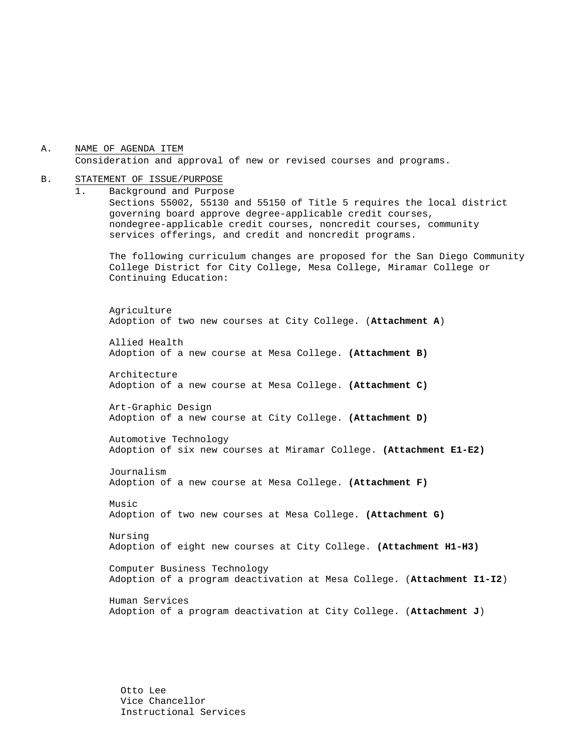A. NAME OF AGENDA ITEM Consideration and approval of new or revised courses and programs.

#### B. STATEMENT OF ISSUE/PURPOSE

1. Background and Purpose Sections 55002, 55130 and 55150 of Title 5 requires the local district governing board approve degree-applicable credit courses, nondegree-applicable credit courses, noncredit courses, community services offerings, and credit and noncredit programs. The following curriculum changes are proposed for the San Diego Community

College District for City College, Mesa College, Miramar College or Continuing Education:

 Agriculture Adoption of two new courses at City College. (**Attachment A**)

Allied Health Adoption of a new course at Mesa College. **(Attachment B)** 

Architecture Adoption of a new course at Mesa College. **(Attachment C)** 

Art-Graphic Design Adoption of a new course at City College. **(Attachment D)** 

Automotive Technology Adoption of six new courses at Miramar College. **(Attachment E1-E2)** 

Journalism Adoption of a new course at Mesa College. **(Attachment F)** 

Music Adoption of two new courses at Mesa College. **(Attachment G)** 

Nursing Adoption of eight new courses at City College. **(Attachment H1-H3)**

Computer Business Technology Adoption of a program deactivation at Mesa College. (**Attachment I1-I2**)

Human Services Adoption of a program deactivation at City College. (**Attachment J**)

Otto Lee Vice Chancellor Instructional Services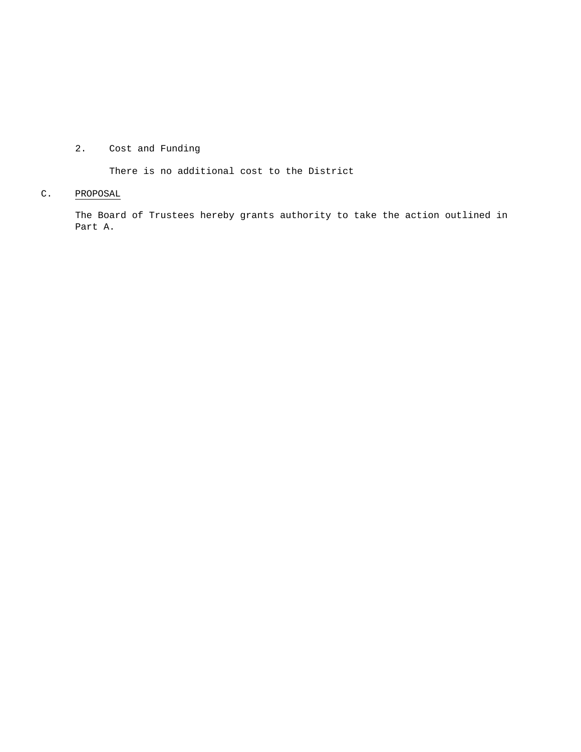# 2. Cost and Funding

There is no additional cost to the District

# C. PROPOSAL

The Board of Trustees hereby grants authority to take the action outlined in Part A.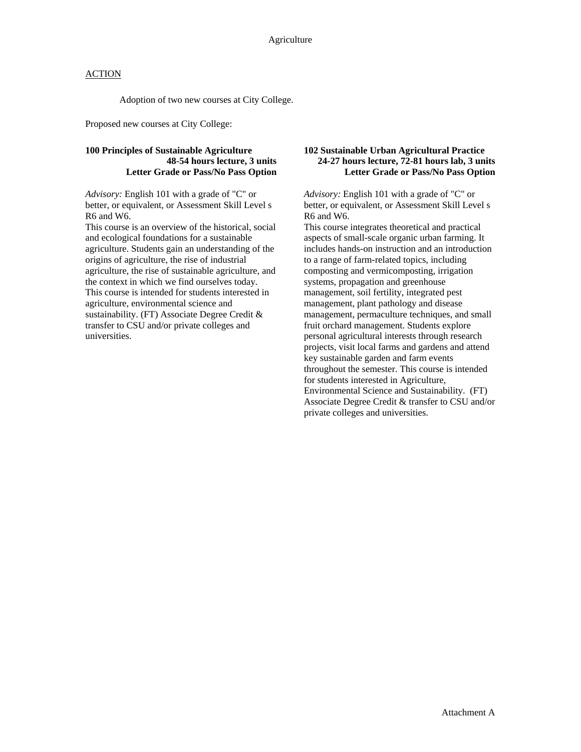Adoption of two new courses at City College.

Proposed new courses at City College:

#### **100 Principles of Sustainable Agriculture 48-54 hours lecture, 3 units Letter Grade or Pass/No Pass Option**

*Advisory:* English 101 with a grade of "C" or better, or equivalent, or Assessment Skill Level s R6 and W6.

This course is an overview of the historical, social and ecological foundations for a sustainable agriculture. Students gain an understanding of the origins of agriculture, the rise of industrial agriculture, the rise of sustainable agriculture, and the context in which we find ourselves today. This course is intended for students interested in agriculture, environmental science and sustainability. (FT) Associate Degree Credit & transfer to CSU and/or private colleges and universities.

#### **102 Sustainable Urban Agricultural Practice 24-27 hours lecture, 72-81 hours lab, 3 units Letter Grade or Pass/No Pass Option**

*Advisory:* English 101 with a grade of "C" or better, or equivalent, or Assessment Skill Level s R6 and W6.

This course integrates theoretical and practical aspects of small-scale organic urban farming. It includes hands-on instruction and an introduction to a range of farm-related topics, including composting and vermicomposting, irrigation systems, propagation and greenhouse management, soil fertility, integrated pest management, plant pathology and disease management, permaculture techniques, and small fruit orchard management. Students explore personal agricultural interests through research projects, visit local farms and gardens and attend key sustainable garden and farm events throughout the semester. This course is intended for students interested in Agriculture, Environmental Science and Sustainability. (FT) Associate Degree Credit & transfer to CSU and/or private colleges and universities.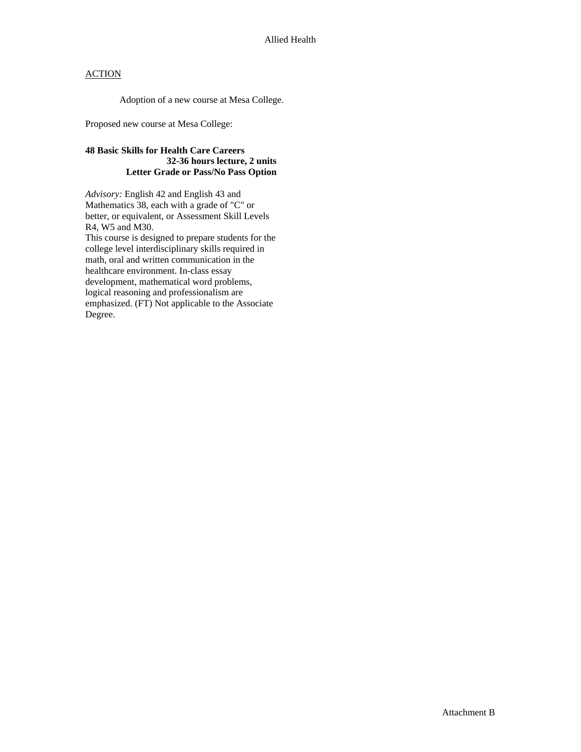Adoption of a new course at Mesa College.

Proposed new course at Mesa College:

## **48 Basic Skills for Health Care Careers 32-36 hours lecture, 2 units Letter Grade or Pass/No Pass Option**

*Advisory:* English 42 and English 43 and Mathematics 38, each with a grade of "C" or better, or equivalent, or Assessment Skill Levels R4, W5 and M30.

This course is designed to prepare students for the college level interdisciplinary skills required in math, oral and written communication in the healthcare environment. In-class essay development, mathematical word problems, logical reasoning and professionalism are emphasized. (FT) Not applicable to the Associate Degree.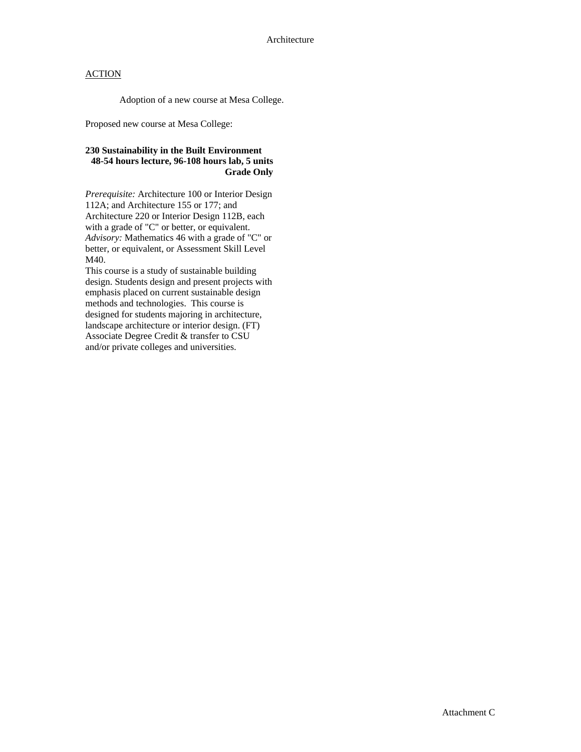Adoption of a new course at Mesa College.

Proposed new course at Mesa College:

## **230 Sustainability in the Built Environment 48-54 hours lecture, 96-108 hours lab, 5 units Grade Only**

*Prerequisite:* Architecture 100 or Interior Design 112A; and Architecture 155 or 177; and Architecture 220 or Interior Design 112B, each with a grade of "C" or better, or equivalent. *Advisory:* Mathematics 46 with a grade of "C" or better, or equivalent, or Assessment Skill Level M40.

This course is a study of sustainable building design. Students design and present projects with emphasis placed on current sustainable design methods and technologies. This course is designed for students majoring in architecture, landscape architecture or interior design. (FT) Associate Degree Credit & transfer to CSU and/or private colleges and universities.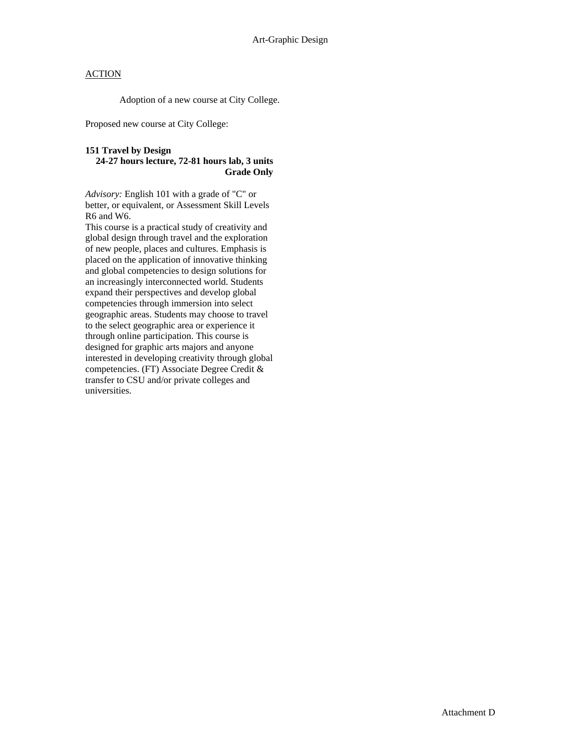Adoption of a new course at City College.

Proposed new course at City College:

# **151 Travel by Design**

#### **24-27 hours lecture, 72-81 hours lab, 3 units Grade Only**

*Advisory:* English 101 with a grade of "C" or better, or equivalent, or Assessment Skill Levels R6 and W6.

This course is a practical study of creativity and global design through travel and the exploration of new people, places and cultures. Emphasis is placed on the application of innovative thinking and global competencies to design solutions for an increasingly interconnected world. Students expand their perspectives and develop global competencies through immersion into select geographic areas. Students may choose to travel to the select geographic area or experience it through online participation. This course is designed for graphic arts majors and anyone interested in developing creativity through global competencies. (FT) Associate Degree Credit & transfer to CSU and/or private colleges and universities.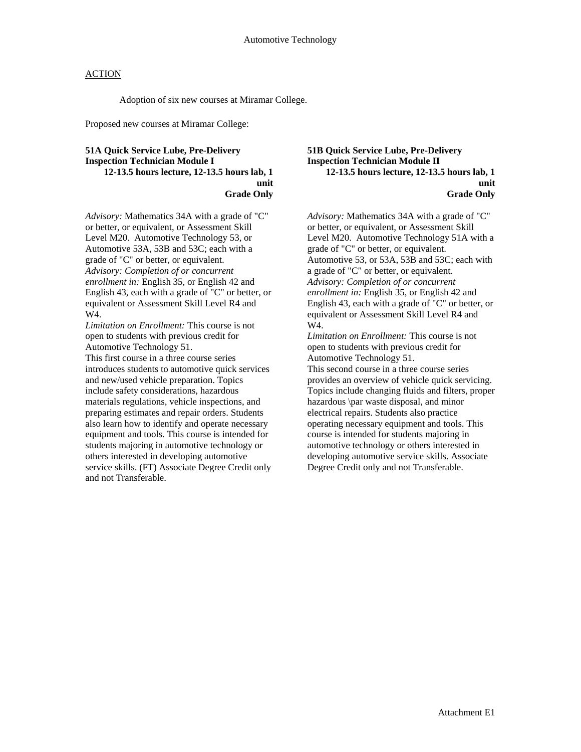Adoption of six new courses at Miramar College.

Proposed new courses at Miramar College:

#### **51A Quick Service Lube, Pre-Delivery Inspection Technician Module I 12-13.5 hours lecture, 12-13.5 hours lab, 1 unit Grade Only**

*Advisory:* Mathematics 34A with a grade of "C" or better, or equivalent, or Assessment Skill Level M20. Automotive Technology 53, or Automotive 53A, 53B and 53C; each with a grade of "C" or better, or equivalent. *Advisory: Completion of or concurrent enrollment in:* English 35, or English 42 and English 43, each with a grade of "C" or better, or equivalent or Assessment Skill Level R4 and W4.

*Limitation on Enrollment:* This course is not open to students with previous credit for Automotive Technology 51.

This first course in a three course series introduces students to automotive quick services and new/used vehicle preparation. Topics include safety considerations, hazardous materials regulations, vehicle inspections, and preparing estimates and repair orders. Students also learn how to identify and operate necessary equipment and tools. This course is intended for students majoring in automotive technology or others interested in developing automotive service skills. (FT) Associate Degree Credit only and not Transferable.

**51B Quick Service Lube, Pre-Delivery Inspection Technician Module II 12-13.5 hours lecture, 12-13.5 hours lab, 1 unit Grade Only** 

*Advisory:* Mathematics 34A with a grade of "C" or better, or equivalent, or Assessment Skill Level M20. Automotive Technology 51A with a grade of "C" or better, or equivalent. Automotive 53, or 53A, 53B and 53C; each with a grade of "C" or better, or equivalent. *Advisory: Completion of or concurrent enrollment in:* English 35, or English 42 and English 43, each with a grade of "C" or better, or equivalent or Assessment Skill Level R4 and W4.

*Limitation on Enrollment:* This course is not open to students with previous credit for Automotive Technology 51.

This second course in a three course series provides an overview of vehicle quick servicing. Topics include changing fluids and filters, proper hazardous \par waste disposal, and minor electrical repairs. Students also practice operating necessary equipment and tools. This course is intended for students majoring in automotive technology or others interested in developing automotive service skills. Associate Degree Credit only and not Transferable.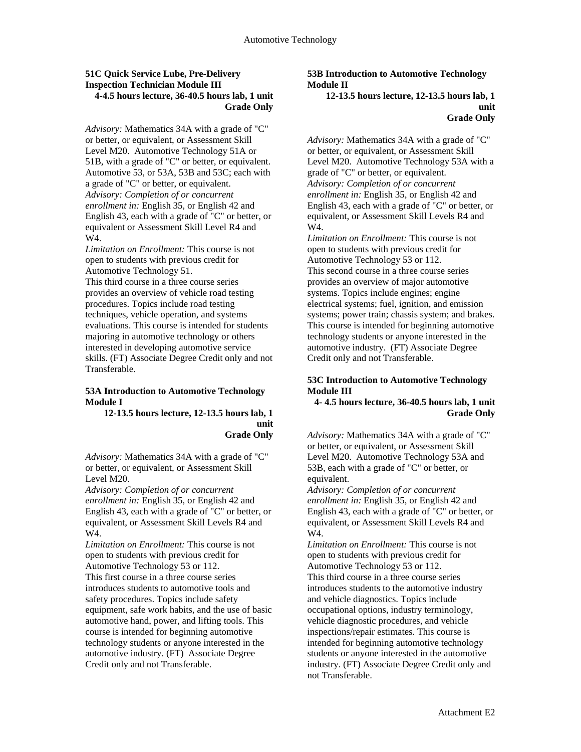#### **51C Quick Service Lube, Pre-Delivery Inspection Technician Module III 4-4.5 hours lecture, 36-40.5 hours lab, 1 unit Grade Only**

*Advisory:* Mathematics 34A with a grade of "C" or better, or equivalent, or Assessment Skill Level M20. Automotive Technology 51A or 51B, with a grade of "C" or better, or equivalent. Automotive 53, or 53A, 53B and 53C; each with a grade of "C" or better, or equivalent. *Advisory: Completion of or concurrent enrollment in:* English 35, or English 42 and English 43, each with a grade of "C" or better, or equivalent or Assessment Skill Level R4 and W4.

*Limitation on Enrollment:* This course is not open to students with previous credit for Automotive Technology 51.

This third course in a three course series provides an overview of vehicle road testing procedures. Topics include road testing techniques, vehicle operation, and systems evaluations. This course is intended for students majoring in automotive technology or others interested in developing automotive service skills. (FT) Associate Degree Credit only and not Transferable.

#### **53A Introduction to Automotive Technology Module I**

**12-13.5 hours lecture, 12-13.5 hours lab, 1 unit Grade Only** 

*Advisory:* Mathematics 34A with a grade of "C" or better, or equivalent, or Assessment Skill Level M20.

*Advisory: Completion of or concurrent enrollment in:* English 35, or English 42 and English 43, each with a grade of "C" or better, or equivalent, or Assessment Skill Levels R4 and W4.

*Limitation on Enrollment:* This course is not open to students with previous credit for Automotive Technology 53 or 112. This first course in a three course series introduces students to automotive tools and safety procedures. Topics include safety equipment, safe work habits, and the use of basic automotive hand, power, and lifting tools. This course is intended for beginning automotive technology students or anyone interested in the automotive industry. (FT) Associate Degree Credit only and not Transferable.

#### **53B Introduction to Automotive Technology Module II**

**12-13.5 hours lecture, 12-13.5 hours lab, 1 unit Grade Only** 

*Advisory:* Mathematics 34A with a grade of "C" or better, or equivalent, or Assessment Skill Level M20. Automotive Technology 53A with a grade of "C" or better, or equivalent. *Advisory: Completion of or concurrent enrollment in:* English 35, or English 42 and English 43, each with a grade of "C" or better, or equivalent, or Assessment Skill Levels R4 and W4.

*Limitation on Enrollment:* This course is not open to students with previous credit for Automotive Technology 53 or 112. This second course in a three course series provides an overview of major automotive systems. Topics include engines; engine electrical systems; fuel, ignition, and emission systems; power train; chassis system; and brakes. This course is intended for beginning automotive technology students or anyone interested in the automotive industry. (FT) Associate Degree Credit only and not Transferable.

#### **53C Introduction to Automotive Technology Module III**

**4- 4.5 hours lecture, 36-40.5 hours lab, 1 unit Grade Only** 

*Advisory:* Mathematics 34A with a grade of "C" or better, or equivalent, or Assessment Skill Level M20. Automotive Technology 53A and 53B, each with a grade of "C" or better, or equivalent.

*Advisory: Completion of or concurrent enrollment in:* English 35, or English 42 and English 43, each with a grade of "C" or better, or equivalent, or Assessment Skill Levels R4 and W4.

*Limitation on Enrollment:* This course is not open to students with previous credit for Automotive Technology 53 or 112. This third course in a three course series introduces students to the automotive industry and vehicle diagnostics. Topics include occupational options, industry terminology, vehicle diagnostic procedures, and vehicle inspections/repair estimates. This course is intended for beginning automotive technology students or anyone interested in the automotive industry. (FT) Associate Degree Credit only and not Transferable.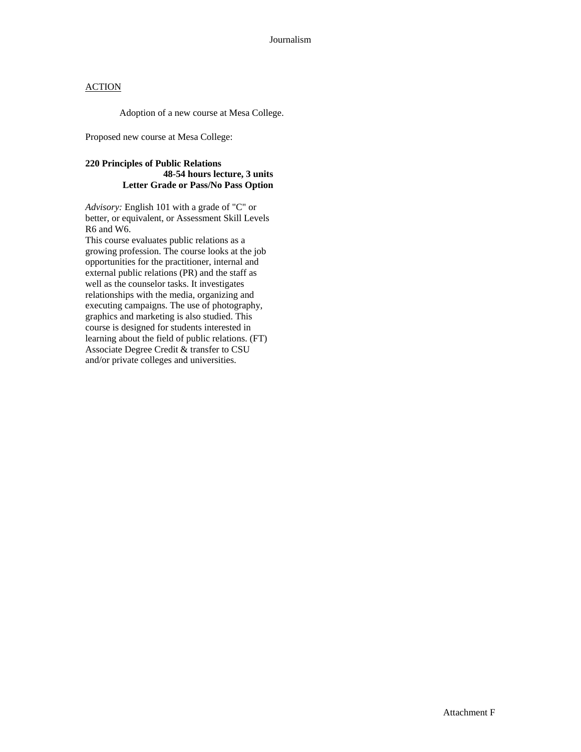Adoption of a new course at Mesa College.

Proposed new course at Mesa College:

### **220 Principles of Public Relations 48-54 hours lecture, 3 units Letter Grade or Pass/No Pass Option**

*Advisory:* English 101 with a grade of "C" or better, or equivalent, or Assessment Skill Levels R6 and W6.

This course evaluates public relations as a growing profession. The course looks at the job opportunities for the practitioner, internal and external public relations (PR) and the staff as well as the counselor tasks. It investigates relationships with the media, organizing and executing campaigns. The use of photography, graphics and marketing is also studied. This course is designed for students interested in learning about the field of public relations. (FT) Associate Degree Credit & transfer to CSU and/or private colleges and universities.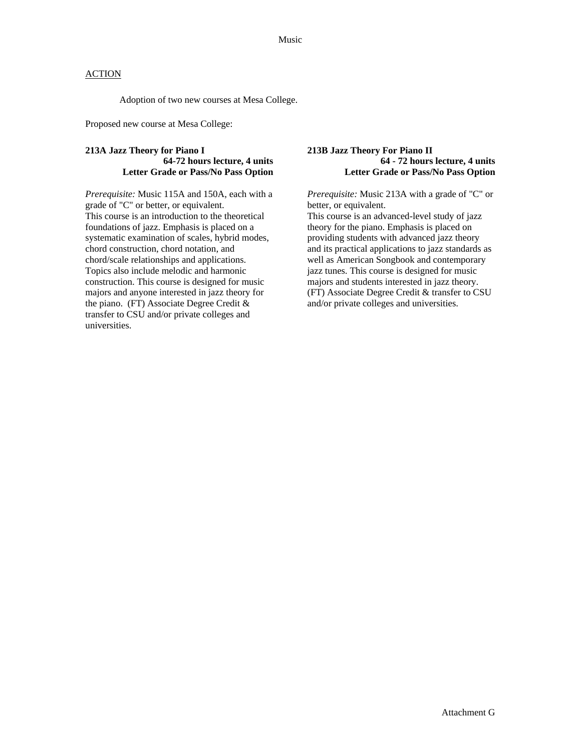Adoption of two new courses at Mesa College.

Proposed new course at Mesa College:

### **213A Jazz Theory for Piano I 64-72 hours lecture, 4 units Letter Grade or Pass/No Pass Option**

*Prerequisite:* Music 115A and 150A, each with a grade of "C" or better, or equivalent. This course is an introduction to the theoretical foundations of jazz. Emphasis is placed on a systematic examination of scales, hybrid modes, chord construction, chord notation, and chord/scale relationships and applications. Topics also include melodic and harmonic construction. This course is designed for music majors and anyone interested in jazz theory for the piano. (FT) Associate Degree Credit & transfer to CSU and/or private colleges and universities.

#### **213B Jazz Theory For Piano II 64 - 72 hours lecture, 4 units Letter Grade or Pass/No Pass Option**

*Prerequisite:* Music 213A with a grade of "C" or better, or equivalent.

This course is an advanced-level study of jazz theory for the piano. Emphasis is placed on providing students with advanced jazz theory and its practical applications to jazz standards as well as American Songbook and contemporary jazz tunes. This course is designed for music majors and students interested in jazz theory. (FT) Associate Degree Credit & transfer to CSU and/or private colleges and universities.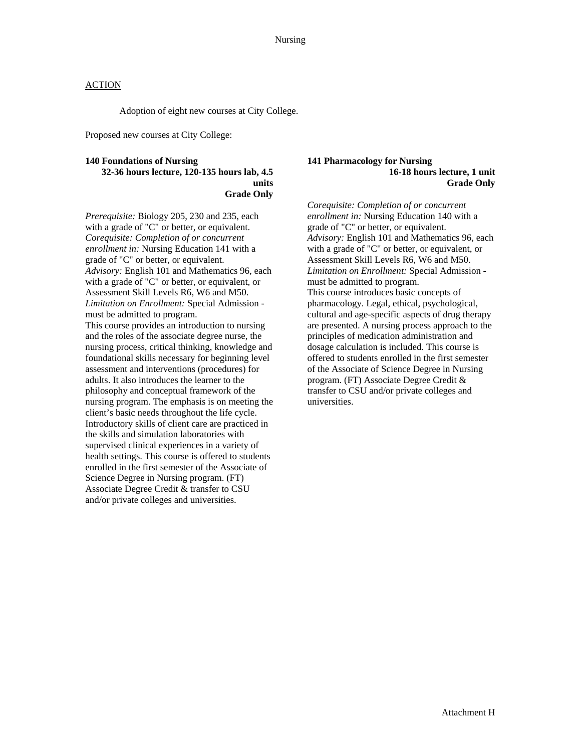Adoption of eight new courses at City College.

Proposed new courses at City College:

#### **140 Foundations of Nursing 32-36 hours lecture, 120-135 hours lab, 4.5 units Grade Only**

*Prerequisite:* Biology 205, 230 and 235, each with a grade of "C" or better, or equivalent. *Corequisite: Completion of or concurrent enrollment in:* Nursing Education 141 with a grade of "C" or better, or equivalent. *Advisory:* English 101 and Mathematics 96, each with a grade of "C" or better, or equivalent, or Assessment Skill Levels R6, W6 and M50. *Limitation on Enrollment:* Special Admission must be admitted to program. This course provides an introduction to nursing and the roles of the associate degree nurse, the nursing process, critical thinking, knowledge and foundational skills necessary for beginning level assessment and interventions (procedures) for adults. It also introduces the learner to the philosophy and conceptual framework of the nursing program. The emphasis is on meeting the client's basic needs throughout the life cycle. Introductory skills of client care are practiced in the skills and simulation laboratories with supervised clinical experiences in a variety of health settings. This course is offered to students enrolled in the first semester of the Associate of Science Degree in Nursing program. (FT) Associate Degree Credit & transfer to CSU and/or private colleges and universities.

#### **141 Pharmacology for Nursing 16-18 hours lecture, 1 unit Grade Only**

*Corequisite: Completion of or concurrent enrollment in:* Nursing Education 140 with a grade of "C" or better, or equivalent. *Advisory:* English 101 and Mathematics 96, each with a grade of "C" or better, or equivalent, or Assessment Skill Levels R6, W6 and M50. *Limitation on Enrollment:* Special Admission must be admitted to program. This course introduces basic concepts of pharmacology. Legal, ethical, psychological, cultural and age-specific aspects of drug therapy are presented. A nursing process approach to the principles of medication administration and dosage calculation is included. This course is offered to students enrolled in the first semester of the Associate of Science Degree in Nursing program. (FT) Associate Degree Credit & transfer to CSU and/or private colleges and universities.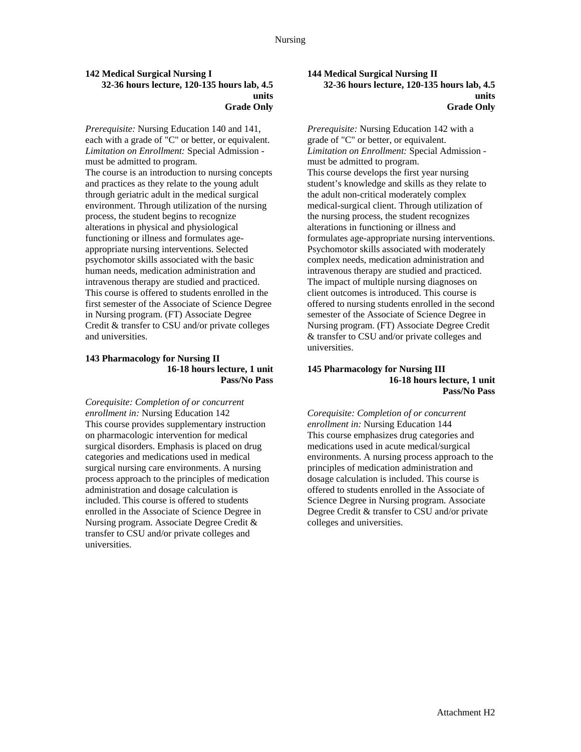#### **142 Medical Surgical Nursing I 32-36 hours lecture, 120-135 hours lab, 4.5 units Grade Only**

*Prerequisite:* Nursing Education 140 and 141, each with a grade of "C" or better, or equivalent. *Limitation on Enrollment:* Special Admission must be admitted to program. The course is an introduction to nursing concepts and practices as they relate to the young adult through geriatric adult in the medical surgical environment. Through utilization of the nursing process, the student begins to recognize alterations in physical and physiological functioning or illness and formulates ageappropriate nursing interventions. Selected psychomotor skills associated with the basic human needs, medication administration and intravenous therapy are studied and practiced. This course is offered to students enrolled in the first semester of the Associate of Science Degree in Nursing program. (FT) Associate Degree Credit & transfer to CSU and/or private colleges and universities.

#### **143 Pharmacology for Nursing II 16-18 hours lecture, 1 unit Pass/No Pass**

*Corequisite: Completion of or concurrent enrollment in:* Nursing Education 142 This course provides supplementary instruction on pharmacologic intervention for medical surgical disorders. Emphasis is placed on drug categories and medications used in medical surgical nursing care environments. A nursing process approach to the principles of medication administration and dosage calculation is included. This course is offered to students enrolled in the Associate of Science Degree in Nursing program. Associate Degree Credit & transfer to CSU and/or private colleges and universities.

#### **144 Medical Surgical Nursing II 32-36 hours lecture, 120-135 hours lab, 4.5 units Grade Only**

*Prerequisite:* Nursing Education 142 with a grade of "C" or better, or equivalent. *Limitation on Enrollment:* Special Admission must be admitted to program. This course develops the first year nursing student's knowledge and skills as they relate to the adult non-critical moderately complex medical-surgical client. Through utilization of the nursing process, the student recognizes alterations in functioning or illness and formulates age-appropriate nursing interventions. Psychomotor skills associated with moderately complex needs, medication administration and intravenous therapy are studied and practiced. The impact of multiple nursing diagnoses on client outcomes is introduced. This course is offered to nursing students enrolled in the second semester of the Associate of Science Degree in Nursing program. (FT) Associate Degree Credit & transfer to CSU and/or private colleges and universities.

#### **145 Pharmacology for Nursing III 16-18 hours lecture, 1 unit Pass/No Pass**

*Corequisite: Completion of or concurrent enrollment in:* Nursing Education 144 This course emphasizes drug categories and medications used in acute medical/surgical environments. A nursing process approach to the principles of medication administration and dosage calculation is included. This course is offered to students enrolled in the Associate of Science Degree in Nursing program. Associate Degree Credit & transfer to CSU and/or private colleges and universities.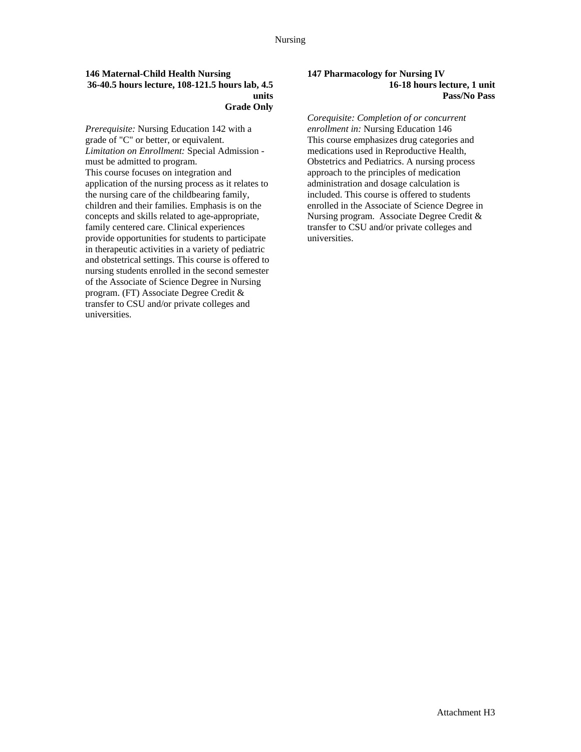#### **146 Maternal-Child Health Nursing 36-40.5 hours lecture, 108-121.5 hours lab, 4.5 units Grade Only**

*Prerequisite:* Nursing Education 142 with a grade of "C" or better, or equivalent. *Limitation on Enrollment:* Special Admission must be admitted to program. This course focuses on integration and application of the nursing process as it relates to the nursing care of the childbearing family, children and their families. Emphasis is on the concepts and skills related to age-appropriate, family centered care. Clinical experiences provide opportunities for students to participate in therapeutic activities in a variety of pediatric and obstetrical settings. This course is offered to nursing students enrolled in the second semester of the Associate of Science Degree in Nursing program. (FT) Associate Degree Credit & transfer to CSU and/or private colleges and universities.

#### **147 Pharmacology for Nursing IV 16-18 hours lecture, 1 unit Pass/No Pass**

*Corequisite: Completion of or concurrent enrollment in:* Nursing Education 146 This course emphasizes drug categories and medications used in Reproductive Health, Obstetrics and Pediatrics. A nursing process approach to the principles of medication administration and dosage calculation is included. This course is offered to students enrolled in the Associate of Science Degree in Nursing program. Associate Degree Credit & transfer to CSU and/or private colleges and universities.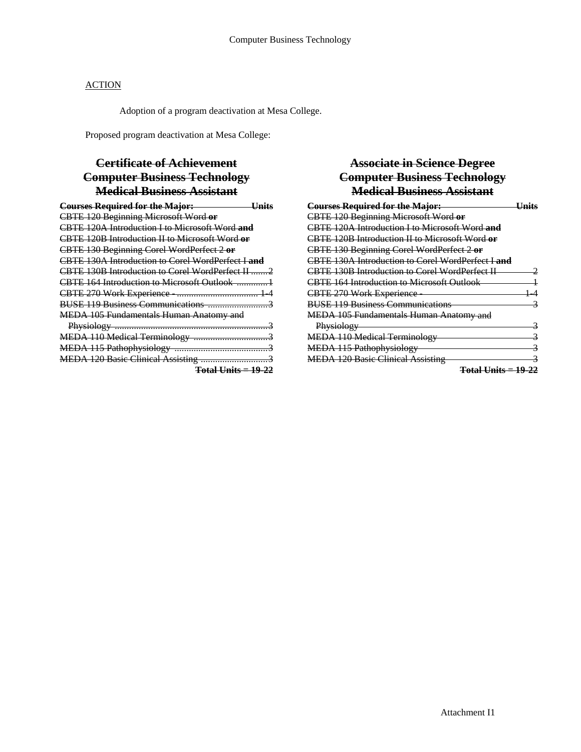Adoption of a program deactivation at Mesa College.

Proposed program deactivation at Mesa College:

# **Certificate of Achievement Computer Business Technology Medical Business Assistant**

| <b>Courses Required for the Major:</b>            |
|---------------------------------------------------|
| CBTE 120 Beginning Microsoft Word or              |
| CBTE 120A Introduction I to Microsoft Word and    |
| CBTE 120B Introduction II to Microsoft Word or    |
| CBTE 130 Beginning Corel WordPerfect 2 or         |
| CBTE 130A Introduction to Corel WordPerfect I and |
| CBTE 130B Introduction to Corel WordPerfect II 2  |
|                                                   |
|                                                   |
|                                                   |
| <b>MEDA 105 Fundamentals Human Anatomy and</b>    |
|                                                   |
|                                                   |
|                                                   |
|                                                   |
| $Total Units = 19-22$                             |

# **Associate in Science Degree Computer Business Technology Medical Business Assistant**

| <b>Courses Required for the Major:</b>                |  |
|-------------------------------------------------------|--|
| CBTE 120 Beginning Microsoft Word or                  |  |
| CBTE 120A Introduction I to Microsoft Word and        |  |
| CBTE 120B Introduction II to Microsoft Word or        |  |
| CBTE 130 Beginning Corel WordPerfect 2 or             |  |
| CBTE 130A Introduction to Corel WordPerfect Land      |  |
| <b>CBTE 130B Introduction to Corel WordPerfect II</b> |  |
| <b>CBTE 164 Introduction to Microsoft Outlook</b>     |  |
| <b>CBTE 270 Work Experience</b>                       |  |
| <b>BUSE 119 Business Communications</b>               |  |
| <b>MEDA 105 Fundamentals Human Anatomy and</b>        |  |
| Physiology                                            |  |
| <b>MEDA 110 Medical Terminology</b>                   |  |
| MEDA 115 Pathophysiology                              |  |
| <b>MEDA 120 Basic Clinical Assisting</b>              |  |
| <del>Total Units = 19-22</del>                        |  |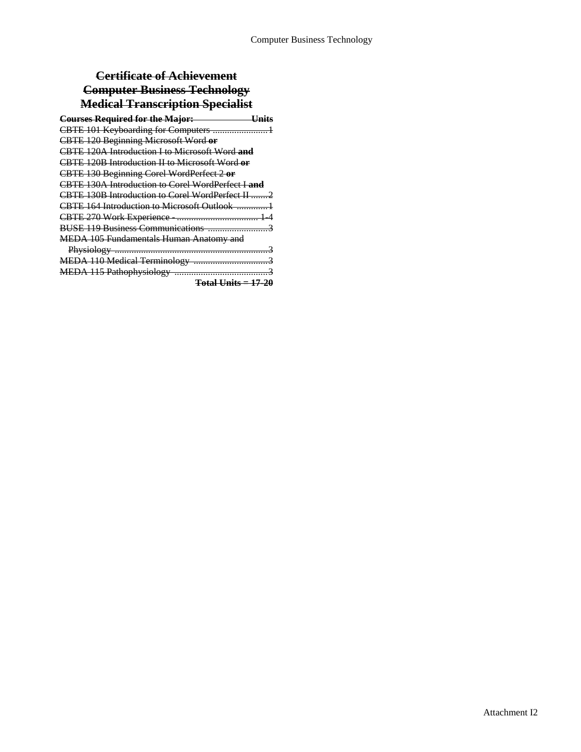# **Certificate of Achievement Computer Business Technology Medical Transcription Specialist**

| <b>Courses Required for the Major:</b><br>——————————Units |
|-----------------------------------------------------------|
|                                                           |
| <b>CBTE 120 Beginning Microsoft Word or</b>               |
| CBTE 120A Introduction I to Microsoft Word and            |
| CBTE 120B Introduction II to Microsoft Word or            |
| CBTE 130 Beginning Corel WordPerfect 2 or                 |
| CBTE 130A Introduction to Corel WordPerfect Land          |
| CBTE 130B Introduction to Corel WordPerfect II 2          |
| CBTE 164 Introduction to Microsoft Outlook                |
|                                                           |
|                                                           |
| <b>MEDA 105 Fundamentals Human Anatomy and</b>            |
|                                                           |
|                                                           |
|                                                           |
| T111111                                                   |

**Total Units = 17-20**